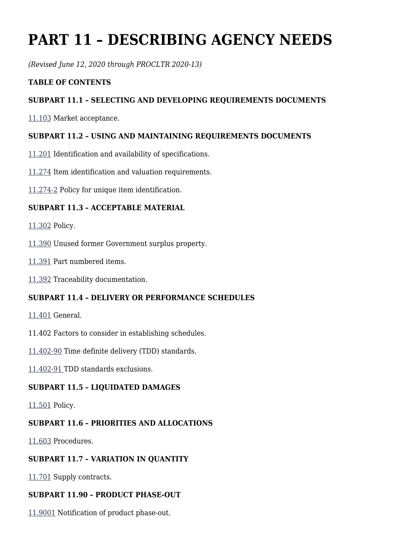# **PART 11 – DESCRIBING AGENCY NEEDS**

*(Revised June 12, 2020 through PROCLTR 2020-13)*

### **TABLE OF CONTENTS**

## **SUBPART 11.1 – SELECTING AND DEVELOPING REQUIREMENTS DOCUMENTS**

[11.103](https://www.acquisition.gov/%5Brp:link:dlad-part-11%5D#P11_103) Market acceptance.

### **SUBPART 11.2 – USING AND MAINTAINING REQUIREMENTS DOCUMENTS**

- [11.201](https://www.acquisition.gov/%5Brp:link:dlad-part-11%5D#P11_201) Identification and availability of specifications.
- [11.274](https://www.acquisition.gov/%5Brp:link:dlad-part-11%5D#P11_274) Item identification and valuation requirements.
- [11.274-2](https://www.acquisition.gov/%5Brp:link:dlad-part-11%5D#P11_274_2) Policy for unique item identification.

### **SUBPART 11.3 – ACCEPTABLE MATERIAL**

- [11.302](https://www.acquisition.gov/%5Brp:link:dlad-part-11%5D#P11_302) Policy.
- [11.390](https://www.acquisition.gov/%5Brp:link:dlad-part-11%5D#P11_390) Unused former Government surplus property.
- [11.391](https://www.acquisition.gov/%5Brp:link:dlad-part-11%5D#P11_391) Part numbered items.
- [11.392](https://www.acquisition.gov/%5Brp:link:dlad-part-11%5D#P11_392) Traceability documentation.

### **SUBPART 11.4 – DELIVERY OR PERFORMANCE SCHEDULES**

- [11.401](https://www.acquisition.gov/%5Brp:link:dlad-part-11%5D#P11_401) General.
- 11.402 Factors to consider in establishing schedules.
- [11.402-90](https://www.acquisition.gov/%5Brp:link:dlad-part-11%5D#P11_402_90) Time definite delivery (TDD) standards.
- [11.402-91](https://www.acquisition.gov/%5Brp:link:dlad-part-11%5D#P11_402_91) TDD standards exclusions.

### **SUBPART 11.5 – LIQUIDATED DAMAGES**

[11.501](https://www.acquisition.gov/%5Brp:link:dlad-part-11%5D#P11_501) Policy.

### **SUBPART 11.6 – PRIORITIES AND ALLOCATIONS**

[11.603](https://www.acquisition.gov/%5Brp:link:dlad-part-11%5D#P11_603) Procedures.

### **SUBPART 11.7 – VARIATION IN QUANTITY**

[11.701](https://www.acquisition.gov/%5Brp:link:dlad-part-11%5D#P11_701) Supply contracts.

### **SUBPART 11.90 – PRODUCT PHASE-OUT**

[11.9001](https://www.acquisition.gov/%5Brp:link:dlad-part-11%5D#P11_9001) Notification of product phase-out.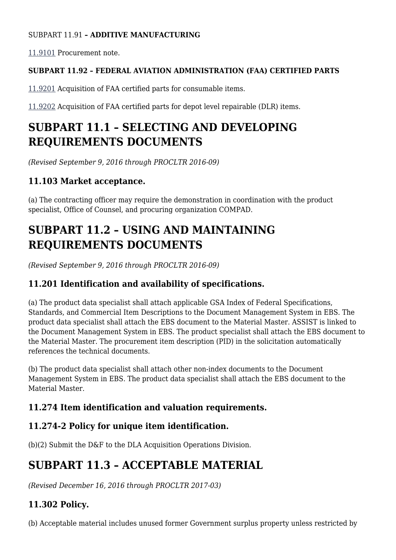## SUBPART 11.91 **– ADDITIVE MANUFACTURING**

[11.9101](https://www.acquisition.gov/%5Brp:link:dlad-part-11%5D#P11_9101) Procurement note.

## **SUBPART 11.92 – FEDERAL AVIATION ADMINISTRATION (FAA) CERTIFIED PARTS**

[11.9201](https://www.acquisition.gov/%5Brp:link:dlad-part-11%5D#P11_9201) Acquisition of FAA certified parts for consumable items.

[11.9202](https://www.acquisition.gov/%5Brp:link:dlad-part-11%5D#P11_9202) Acquisition of FAA certified parts for depot level repairable (DLR) items.

## **SUBPART 11.1 – SELECTING AND DEVELOPING REQUIREMENTS DOCUMENTS**

*(Revised September 9, 2016 through PROCLTR 2016-09)*

## **11.103 Market acceptance.**

(a) The contracting officer may require the demonstration in coordination with the product specialist, Office of Counsel, and procuring organization COMPAD.

## **SUBPART 11.2 – USING AND MAINTAINING REQUIREMENTS DOCUMENTS**

*(Revised September 9, 2016 through PROCLTR 2016-09)*

## **11.201 Identification and availability of specifications.**

(a) The product data specialist shall attach applicable GSA Index of Federal Specifications, Standards, and Commercial Item Descriptions to the Document Management System in EBS. The product data specialist shall attach the EBS document to the Material Master. ASSIST is linked to the Document Management System in EBS. The product specialist shall attach the EBS document to the Material Master. The procurement item description (PID) in the solicitation automatically references the technical documents.

(b) The product data specialist shall attach other non-index documents to the Document Management System in EBS. The product data specialist shall attach the EBS document to the Material Master.

## **11.274 Item identification and valuation requirements.**

## **11.274-2 Policy for unique item identification.**

(b)(2) Submit the D&F to the DLA Acquisition Operations Division.

## **SUBPART 11.3 – ACCEPTABLE MATERIAL**

*(Revised December 16, 2016 through PROCLTR 2017-03)*

## **11.302 Policy.**

(b) Acceptable material includes unused former Government surplus property unless restricted by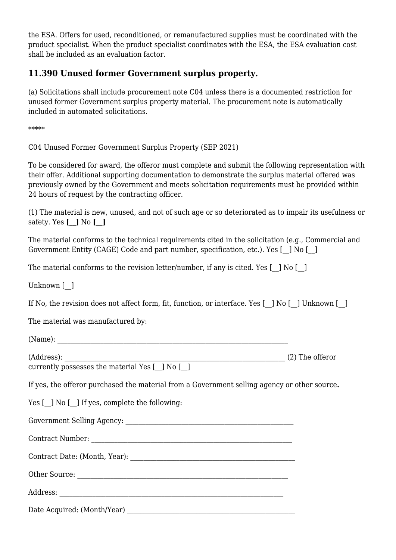the ESA. Offers for used, reconditioned, or remanufactured supplies must be coordinated with the product specialist. When the product specialist coordinates with the ESA, the ESA evaluation cost shall be included as an evaluation factor.

## **11.390 Unused former Government surplus property.**

(a) Solicitations shall include procurement note C04 unless there is a documented restriction for unused former Government surplus property material. The procurement note is automatically included in automated solicitations.

\*\*\*\*\*

C04 Unused Former Government Surplus Property (SEP 2021)

To be considered for award, the offeror must complete and submit the following representation with their offer. Additional supporting documentation to demonstrate the surplus material offered was previously owned by the Government and meets solicitation requirements must be provided within 24 hours of request by the contracting officer.

(1) The material is new, unused, and not of such age or so deteriorated as to impair its usefulness or safety. Yes **[\_\_]** No **[\_\_]**

The material conforms to the technical requirements cited in the solicitation (e.g., Commercial and Government Entity (CAGE) Code and part number, specification, etc.). Yes [\_\_] No [\_\_]

The material conforms to the revision letter/number, if any is cited. Yes  $\lceil$  | No  $\lceil$  |

Unknown [  $\vert$ 

If No, the revision does not affect form, fit, function, or interface. Yes [\_] No [\_] Unknown [\_]

The material was manufactured by:

| (Name):                                                                                      |  |
|----------------------------------------------------------------------------------------------|--|
|                                                                                              |  |
| currently possesses the material Yes [ ] No [ ]                                              |  |
| If yes, the offeror purchased the material from a Government selling agency or other source. |  |
| Yes [ ] No [ ] If yes, complete the following:                                               |  |
|                                                                                              |  |
|                                                                                              |  |
|                                                                                              |  |
|                                                                                              |  |
|                                                                                              |  |
|                                                                                              |  |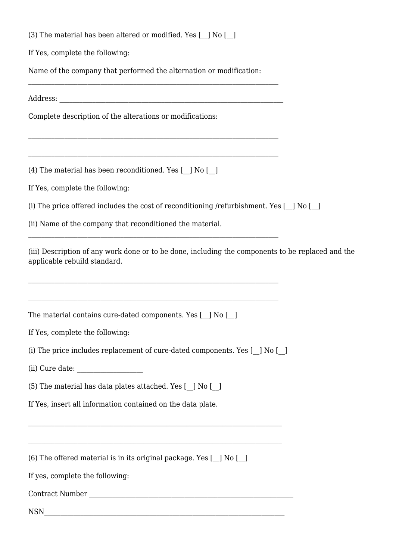|  | (3) The material has been altered or modified. Yes [ ] No [ ] |  |  |  |  |
|--|---------------------------------------------------------------|--|--|--|--|
|  |                                                               |  |  |  |  |

If Yes, complete the following:

Name of the company that performed the alternation or modification:

Address: \_\_\_\_\_\_\_\_\_\_\_\_\_\_\_\_\_\_\_\_\_\_\_\_\_\_\_\_\_\_\_\_\_\_\_\_\_\_\_\_\_\_\_\_\_\_\_\_\_\_\_\_\_\_\_\_\_\_\_\_\_\_\_\_\_\_\_\_

Complete description of the alterations or modifications:

(4) The material has been reconditioned. Yes [\_\_] No [\_\_]

If Yes, complete the following:

(i) The price offered includes the cost of reconditioning /refurbishment. Yes [\_\_] No [\_\_]

(ii) Name of the company that reconditioned the material.

(iii) Description of any work done or to be done, including the components to be replaced and the applicable rebuild standard.

The material contains cure-dated components. Yes [  $\mid$  No [  $\mid$  ]

If Yes, complete the following:

(i) The price includes replacement of cure-dated components. Yes [\_\_] No [\_\_]

\_\_\_\_\_\_\_\_\_\_\_\_\_\_\_\_\_\_\_\_\_\_\_\_\_\_\_\_\_\_\_\_\_\_\_\_\_\_\_\_\_\_\_\_\_\_\_\_\_\_\_\_\_\_\_\_\_\_\_\_\_\_\_\_\_\_\_\_\_\_\_\_\_\_\_\_

(ii) Cure date:

(5) The material has data plates attached. Yes  $\lceil$  ] No  $\lceil$  ]

If Yes, insert all information contained on the data plate.

(6) The offered material is in its original package. Yes [\_\_] No [\_\_]

If yes, complete the following:

Contract Number \_\_\_\_\_\_\_\_\_\_\_\_\_\_\_\_\_\_\_\_\_\_\_\_\_\_\_\_\_\_\_\_\_\_\_\_\_\_\_\_\_\_\_\_\_\_\_\_\_\_\_\_\_\_\_\_\_\_\_\_\_\_

 $NSN$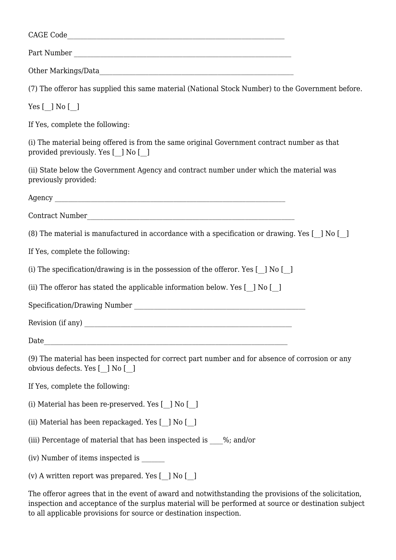| (7) The offeror has supplied this same material (National Stock Number) to the Government before.                                  |  |  |  |  |
|------------------------------------------------------------------------------------------------------------------------------------|--|--|--|--|
| Yes $[$ $]$ No $[$ $]$                                                                                                             |  |  |  |  |
| If Yes, complete the following:                                                                                                    |  |  |  |  |
| (i) The material being offered is from the same original Government contract number as that<br>provided previously. Yes [_] No [_] |  |  |  |  |
| (ii) State below the Government Agency and contract number under which the material was<br>previously provided:                    |  |  |  |  |
|                                                                                                                                    |  |  |  |  |
|                                                                                                                                    |  |  |  |  |
| (8) The material is manufactured in accordance with a specification or drawing. Yes [] No []                                       |  |  |  |  |
| If Yes, complete the following:                                                                                                    |  |  |  |  |
| (i) The specification/drawing is in the possession of the offeror. Yes [ ] No [ ]                                                  |  |  |  |  |
| (ii) The offeror has stated the applicable information below. Yes [ ] No [ ]                                                       |  |  |  |  |
|                                                                                                                                    |  |  |  |  |
|                                                                                                                                    |  |  |  |  |
| Date<br><u> 1989 - Johann Stein, Amerikaansk politiker (</u>                                                                       |  |  |  |  |
| (9) The material has been inspected for correct part number and for absence of corrosion or any<br>obvious defects. Yes [_] No [_] |  |  |  |  |
| If Yes, complete the following:                                                                                                    |  |  |  |  |
| (i) Material has been re-preserved. Yes [ ] No [ ]                                                                                 |  |  |  |  |
| (ii) Material has been repackaged. Yes [ ] No [ ]                                                                                  |  |  |  |  |
| (iii) Percentage of material that has been inspected is %; and/or                                                                  |  |  |  |  |
| (iv) Number of items inspected is ______                                                                                           |  |  |  |  |
| (v) A written report was prepared. Yes [_] No [_]                                                                                  |  |  |  |  |
|                                                                                                                                    |  |  |  |  |

The offeror agrees that in the event of award and notwithstanding the provisions of the solicitation, inspection and acceptance of the surplus material will be performed at source or destination subject to all applicable provisions for source or destination inspection.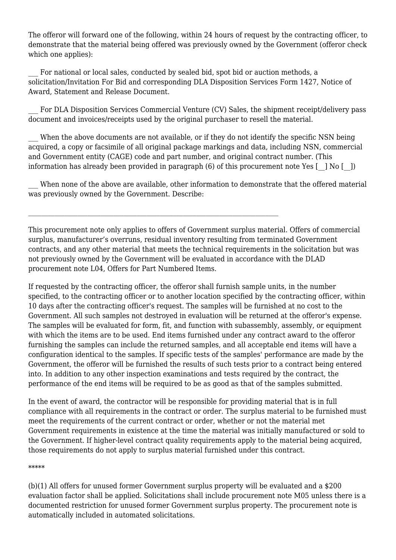The offeror will forward one of the following, within 24 hours of request by the contracting officer, to demonstrate that the material being offered was previously owned by the Government (offeror check which one applies):

For national or local sales, conducted by sealed bid, spot bid or auction methods, a solicitation/Invitation For Bid and corresponding DLA Disposition Services Form 1427, Notice of Award, Statement and Release Document.

For DLA Disposition Services Commercial Venture (CV) Sales, the shipment receipt/delivery pass document and invoices/receipts used by the original purchaser to resell the material.

When the above documents are not available, or if they do not identify the specific NSN being acquired, a copy or facsimile of all original package markings and data, including NSN, commercial and Government entity (CAGE) code and part number, and original contract number. (This information has already been provided in paragraph  $(6)$  of this procurement note Yes  $\lceil \quad \rceil$  No  $\lceil \quad \rceil$ )

When none of the above are available, other information to demonstrate that the offered material was previously owned by the Government. Describe:

This procurement note only applies to offers of Government surplus material. Offers of commercial surplus, manufacturer's overruns, residual inventory resulting from terminated Government contracts, and any other material that meets the technical requirements in the solicitation but was not previously owned by the Government will be evaluated in accordance with the DLAD procurement note L04, Offers for Part Numbered Items.

If requested by the contracting officer, the offeror shall furnish sample units, in the number specified, to the contracting officer or to another location specified by the contracting officer, within 10 days after the contracting officer's request. The samples will be furnished at no cost to the Government. All such samples not destroyed in evaluation will be returned at the offeror's expense. The samples will be evaluated for form, fit, and function with subassembly, assembly, or equipment with which the items are to be used. End items furnished under any contract award to the offeror furnishing the samples can include the returned samples, and all acceptable end items will have a configuration identical to the samples. If specific tests of the samples' performance are made by the Government, the offeror will be furnished the results of such tests prior to a contract being entered into. In addition to any other inspection examinations and tests required by the contract, the performance of the end items will be required to be as good as that of the samples submitted.

In the event of award, the contractor will be responsible for providing material that is in full compliance with all requirements in the contract or order. The surplus material to be furnished must meet the requirements of the current contract or order, whether or not the material met Government requirements in existence at the time the material was initially manufactured or sold to the Government. If higher-level contract quality requirements apply to the material being acquired, those requirements do not apply to surplus material furnished under this contract.

\*\*\*\*\*

(b)(1) All offers for unused former Government surplus property will be evaluated and a \$200 evaluation factor shall be applied. Solicitations shall include procurement note M05 unless there is a documented restriction for unused former Government surplus property. The procurement note is automatically included in automated solicitations.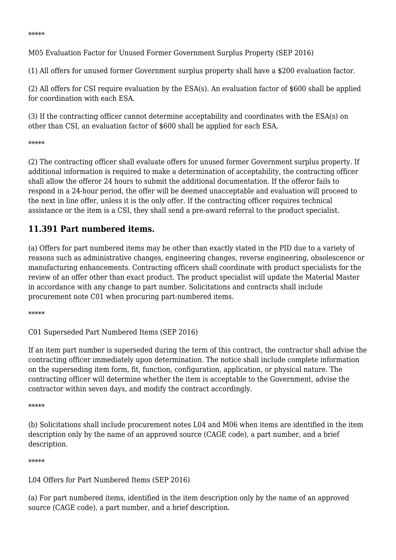\*\*\*\*\*

M05 Evaluation Factor for Unused Former Government Surplus Property (SEP 2016)

(1) All offers for unused former Government surplus property shall have a \$200 evaluation factor.

(2) All offers for CSI require evaluation by the ESA(s). An evaluation factor of \$600 shall be applied for coordination with each ESA.

(3) If the contracting officer cannot determine acceptability and coordinates with the ESA(s) on other than CSI, an evaluation factor of \$600 shall be applied for each ESA.

#### \*\*\*\*\*

(2) The contracting officer shall evaluate offers for unused former Government surplus property. If additional information is required to make a determination of acceptability, the contracting officer shall allow the offeror 24 hours to submit the additional documentation. If the offeror fails to respond in a 24-hour period, the offer will be deemed unacceptable and evaluation will proceed to the next in line offer, unless it is the only offer. If the contracting officer requires technical assistance or the item is a CSI, they shall send a pre-award referral to the product specialist.

## **11.391 Part numbered items.**

(a) Offers for part numbered items may be other than exactly stated in the PID due to a variety of reasons such as administrative changes, engineering changes, reverse engineering, obsolescence or manufacturing enhancements. Contracting officers shall coordinate with product specialists for the review of an offer other than exact product. The product specialist will update the Material Master in accordance with any change to part number. Solicitations and contracts shall include procurement note C01 when procuring part-numbered items.

\*\*\*\*\*

C01 Superseded Part Numbered Items (SEP 2016)

If an item part number is superseded during the term of this contract, the contractor shall advise the contracting officer immediately upon determination. The notice shall include complete information on the superseding item form, fit, function, configuration, application, or physical nature. The contracting officer will determine whether the item is acceptable to the Government, advise the contractor within seven days, and modify the contract accordingly.

#### \*\*\*\*\*

(b) Solicitations shall include procurement notes L04 and M06 when items are identified in the item description only by the name of an approved source (CAGE code), a part number, and a brief description.

#### \*\*\*\*\*

L04 Offers for Part Numbered Items (SEP 2016)

(a) For part numbered items, identified in the item description only by the name of an approved source (CAGE code), a part number, and a brief description.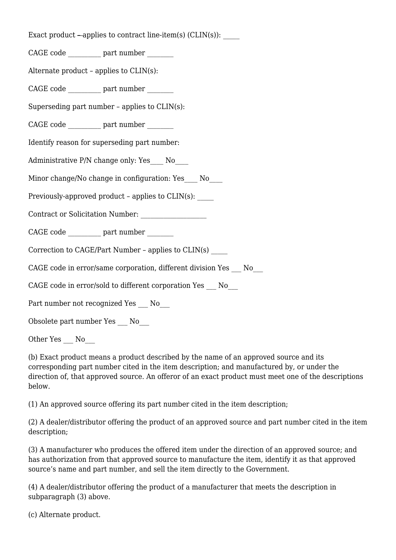Exact product  $-\text{applies to contract line-item(s) (CLIN(s))}:$ 

CAGE code \_\_\_\_\_\_\_\_\_\_ part number \_\_\_\_\_\_\_\_

Alternate product – applies to CLIN(s):

CAGE code  $\qquad \qquad$  part number

Superseding part number – applies to CLIN(s):

CAGE code  $\qquad \qquad$  part number

Identify reason for superseding part number:

Administrative P/N change only: Yes No

Minor change/No change in configuration: Yes \_\_\_ No

Previously-approved product – applies to CLIN(s): \_\_\_\_\_

Contract or Solicitation Number:

CAGE code \_\_\_\_\_\_\_\_\_\_ part number \_\_\_\_\_\_\_\_

Correction to CAGE/Part Number – applies to CLIN(s) \_\_\_\_\_

CAGE code in error/same corporation, different division Yes No

CAGE code in error/sold to different corporation Yes No

Part number not recognized Yes No

Obsolete part number Yes \_\_\_ No\_\_\_

Other Yes \_\_\_ No

(b) Exact product means a product described by the name of an approved source and its corresponding part number cited in the item description; and manufactured by, or under the direction of, that approved source. An offeror of an exact product must meet one of the descriptions below.

(1) An approved source offering its part number cited in the item description;

(2) A dealer/distributor offering the product of an approved source and part number cited in the item description;

(3) A manufacturer who produces the offered item under the direction of an approved source; and has authorization from that approved source to manufacture the item, identify it as that approved source's name and part number, and sell the item directly to the Government.

(4) A dealer/distributor offering the product of a manufacturer that meets the description in subparagraph (3) above.

(c) Alternate product.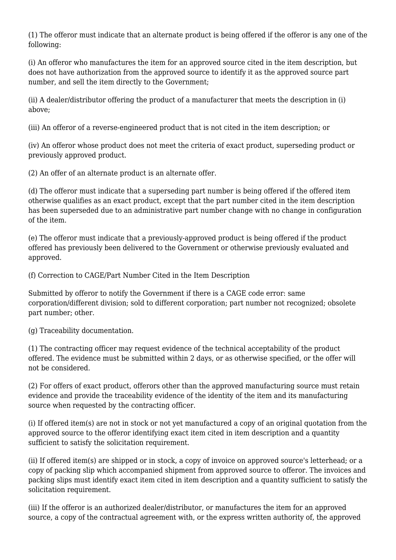(1) The offeror must indicate that an alternate product is being offered if the offeror is any one of the following:

(i) An offeror who manufactures the item for an approved source cited in the item description, but does not have authorization from the approved source to identify it as the approved source part number, and sell the item directly to the Government;

(ii) A dealer/distributor offering the product of a manufacturer that meets the description in (i) above;

(iii) An offeror of a reverse-engineered product that is not cited in the item description; or

(iv) An offeror whose product does not meet the criteria of exact product, superseding product or previously approved product.

(2) An offer of an alternate product is an alternate offer.

(d) The offeror must indicate that a superseding part number is being offered if the offered item otherwise qualifies as an exact product, except that the part number cited in the item description has been superseded due to an administrative part number change with no change in configuration of the item.

(e) The offeror must indicate that a previously-approved product is being offered if the product offered has previously been delivered to the Government or otherwise previously evaluated and approved.

(f) Correction to CAGE/Part Number Cited in the Item Description

Submitted by offeror to notify the Government if there is a CAGE code error: same corporation/different division; sold to different corporation; part number not recognized; obsolete part number; other.

(g) Traceability documentation.

(1) The contracting officer may request evidence of the technical acceptability of the product offered. The evidence must be submitted within 2 days, or as otherwise specified, or the offer will not be considered.

(2) For offers of exact product, offerors other than the approved manufacturing source must retain evidence and provide the traceability evidence of the identity of the item and its manufacturing source when requested by the contracting officer.

(i) If offered item(s) are not in stock or not yet manufactured a copy of an original quotation from the approved source to the offeror identifying exact item cited in item description and a quantity sufficient to satisfy the solicitation requirement.

(ii) If offered item(s) are shipped or in stock, a copy of invoice on approved source's letterhead; or a copy of packing slip which accompanied shipment from approved source to offeror. The invoices and packing slips must identify exact item cited in item description and a quantity sufficient to satisfy the solicitation requirement.

(iii) If the offeror is an authorized dealer/distributor, or manufactures the item for an approved source, a copy of the contractual agreement with, or the express written authority of, the approved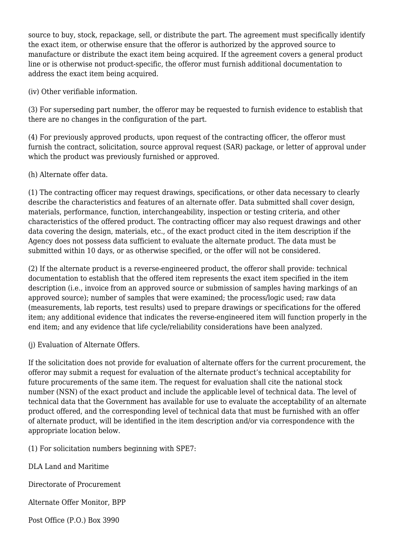source to buy, stock, repackage, sell, or distribute the part. The agreement must specifically identify the exact item, or otherwise ensure that the offeror is authorized by the approved source to manufacture or distribute the exact item being acquired. If the agreement covers a general product line or is otherwise not product-specific, the offeror must furnish additional documentation to address the exact item being acquired.

(iv) Other verifiable information.

(3) For superseding part number, the offeror may be requested to furnish evidence to establish that there are no changes in the configuration of the part.

(4) For previously approved products, upon request of the contracting officer, the offeror must furnish the contract, solicitation, source approval request (SAR) package, or letter of approval under which the product was previously furnished or approved.

(h) Alternate offer data.

(1) The contracting officer may request drawings, specifications, or other data necessary to clearly describe the characteristics and features of an alternate offer. Data submitted shall cover design, materials, performance, function, interchangeability, inspection or testing criteria, and other characteristics of the offered product. The contracting officer may also request drawings and other data covering the design, materials, etc., of the exact product cited in the item description if the Agency does not possess data sufficient to evaluate the alternate product. The data must be submitted within 10 days, or as otherwise specified, or the offer will not be considered.

(2) If the alternate product is a reverse-engineered product, the offeror shall provide: technical documentation to establish that the offered item represents the exact item specified in the item description (i.e., invoice from an approved source or submission of samples having markings of an approved source); number of samples that were examined; the process/logic used; raw data (measurements, lab reports, test results) used to prepare drawings or specifications for the offered item; any additional evidence that indicates the reverse-engineered item will function properly in the end item; and any evidence that life cycle/reliability considerations have been analyzed.

(j) Evaluation of Alternate Offers.

If the solicitation does not provide for evaluation of alternate offers for the current procurement, the offeror may submit a request for evaluation of the alternate product's technical acceptability for future procurements of the same item. The request for evaluation shall cite the national stock number (NSN) of the exact product and include the applicable level of technical data. The level of technical data that the Government has available for use to evaluate the acceptability of an alternate product offered, and the corresponding level of technical data that must be furnished with an offer of alternate product, will be identified in the item description and/or via correspondence with the appropriate location below.

(1) For solicitation numbers beginning with SPE7:

DLA Land and Maritime

Directorate of Procurement

Alternate Offer Monitor, BPP

Post Office (P.O.) Box 3990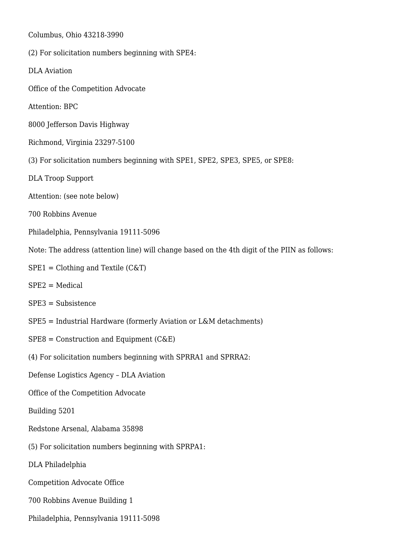Columbus, Ohio 43218-3990

- (2) For solicitation numbers beginning with SPE4:
- DLA Aviation
- Office of the Competition Advocate
- Attention: BPC
- 8000 Jefferson Davis Highway
- Richmond, Virginia 23297-5100
- (3) For solicitation numbers beginning with SPE1, SPE2, SPE3, SPE5, or SPE8:
- DLA Troop Support
- Attention: (see note below)
- 700 Robbins Avenue
- Philadelphia, Pennsylvania 19111-5096
- Note: The address (attention line) will change based on the 4th digit of the PIIN as follows:
- $SPE1 = Clothing$  and Textile (C&T)
- SPE2 = Medical
- SPE3 = Subsistence
- SPE5 = Industrial Hardware (formerly Aviation or L&M detachments)
- $SPE8 = Construction$  and Equipment (C&E)
- (4) For solicitation numbers beginning with SPRRA1 and SPRRA2:
- Defense Logistics Agency DLA Aviation
- Office of the Competition Advocate
- Building 5201
- Redstone Arsenal, Alabama 35898
- (5) For solicitation numbers beginning with SPRPA1:
- DLA Philadelphia
- Competition Advocate Office
- 700 Robbins Avenue Building 1
- Philadelphia, Pennsylvania 19111-5098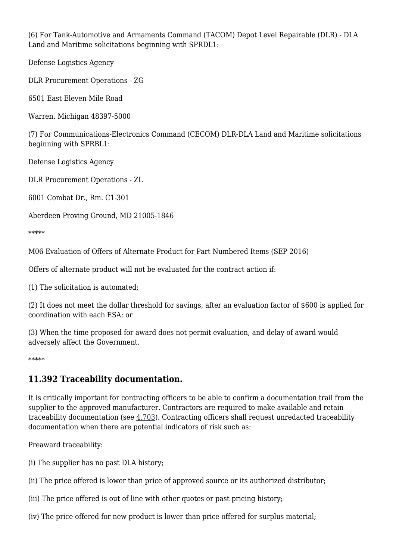(6) For Tank-Automotive and Armaments Command (TACOM) Depot Level Repairable (DLR) - DLA Land and Maritime solicitations beginning with SPRDL1:

Defense Logistics Agency

DLR Procurement Operations - ZG

6501 East Eleven Mile Road

Warren, Michigan 48397-5000

(7) For Communications-Electronics Command (CECOM) DLR-DLA Land and Maritime solicitations beginning with SPRBL1:

Defense Logistics Agency

DLR Procurement Operations - ZL

6001 Combat Dr., Rm. C1-301

Aberdeen Proving Ground, MD 21005-1846

\*\*\*\*\*

M06 Evaluation of Offers of Alternate Product for Part Numbered Items (SEP 2016)

Offers of alternate product will not be evaluated for the contract action if:

(1) The solicitation is automated;

(2) It does not meet the dollar threshold for savings, after an evaluation factor of \$600 is applied for coordination with each ESA; or

(3) When the time proposed for award does not permit evaluation, and delay of award would adversely affect the Government.

\*\*\*\*\*

## **11.392 Traceability documentation.**

It is critically important for contracting officers to be able to confirm a documentation trail from the supplier to the approved manufacturer. Contractors are required to make available and retain traceability documentation (see [4.703](https://www.acquisition.gov/%5Brp:link:dlad-part-4%5D#P4_703)). Contracting officers shall request unredacted traceability documentation when there are potential indicators of risk such as:

Preaward traceability:

(i) The supplier has no past DLA history;

(ii) The price offered is lower than price of approved source or its authorized distributor;

(iii) The price offered is out of line with other quotes or past pricing history;

(iv) The price offered for new product is lower than price offered for surplus material;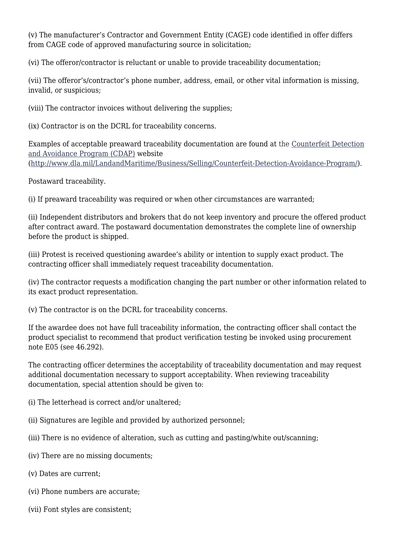(v) The manufacturer's Contractor and Government Entity (CAGE) code identified in offer differs from CAGE code of approved manufacturing source in solicitation;

(vi) The offeror/contractor is reluctant or unable to provide traceability documentation;

(vii) The offeror's/contractor's phone number, address, email, or other vital information is missing, invalid, or suspicious;

(viii) The contractor invoices without delivering the supplies;

(ix) Contractor is on the DCRL for traceability concerns.

Examples of acceptable preaward traceability documentation are found at the [Counterfeit Detection](http://www.dla.mil/LandandMaritime/Business/Selling/Counterfeit-Detection-Avoidance-Program/) [and Avoidance Program \(CDAP\)](http://www.dla.mil/LandandMaritime/Business/Selling/Counterfeit-Detection-Avoidance-Program/) website [\(http://www.dla.mil/LandandMaritime/Business/Selling/Counterfeit-Detection-Avoidance-Program/](http://www.dla.mil/LandandMaritime/Business/Selling/Counterfeit-Detection-Avoidance-Program/)).

Postaward traceability.

(i) If preaward traceability was required or when other circumstances are warranted;

(ii) Independent distributors and brokers that do not keep inventory and procure the offered product after contract award. The postaward documentation demonstrates the complete line of ownership before the product is shipped.

(iii) Protest is received questioning awardee's ability or intention to supply exact product. The contracting officer shall immediately request traceability documentation.

(iv) The contractor requests a modification changing the part number or other information related to its exact product representation.

(v) The contractor is on the DCRL for traceability concerns.

If the awardee does not have full traceability information, the contracting officer shall contact the product specialist to recommend that product verification testing be invoked using procurement note E05 (see 46.292).

The contracting officer determines the acceptability of traceability documentation and may request additional documentation necessary to support acceptability. When reviewing traceability documentation, special attention should be given to:

(i) The letterhead is correct and/or unaltered;

- (ii) Signatures are legible and provided by authorized personnel;
- (iii) There is no evidence of alteration, such as cutting and pasting/white out/scanning;
- (iv) There are no missing documents;
- (v) Dates are current;
- (vi) Phone numbers are accurate;
- (vii) Font styles are consistent;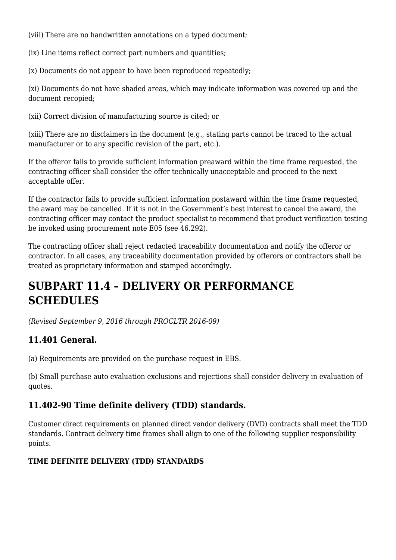(viii) There are no handwritten annotations on a typed document;

(ix) Line items reflect correct part numbers and quantities;

(x) Documents do not appear to have been reproduced repeatedly;

(xi) Documents do not have shaded areas, which may indicate information was covered up and the document recopied;

(xii) Correct division of manufacturing source is cited; or

(xiii) There are no disclaimers in the document (e.g., stating parts cannot be traced to the actual manufacturer or to any specific revision of the part, etc.).

If the offeror fails to provide sufficient information preaward within the time frame requested, the contracting officer shall consider the offer technically unacceptable and proceed to the next acceptable offer.

If the contractor fails to provide sufficient information postaward within the time frame requested, the award may be cancelled. If it is not in the Government's best interest to cancel the award, the contracting officer may contact the product specialist to recommend that product verification testing be invoked using procurement note E05 (see 46.292).

The contracting officer shall reject redacted traceability documentation and notify the offeror or contractor. In all cases, any traceability documentation provided by offerors or contractors shall be treated as proprietary information and stamped accordingly.

## **SUBPART 11.4 – DELIVERY OR PERFORMANCE SCHEDULES**

*(Revised September 9, 2016 through PROCLTR 2016-09)*

## **11.401 General.**

(a) Requirements are provided on the purchase request in EBS.

(b) Small purchase auto evaluation exclusions and rejections shall consider delivery in evaluation of quotes.

## **11.402-90 Time definite delivery (TDD) standards.**

Customer direct requirements on planned direct vendor delivery (DVD) contracts shall meet the TDD standards. Contract delivery time frames shall align to one of the following supplier responsibility points.

### **TIME DEFINITE DELIVERY (TDD) STANDARDS**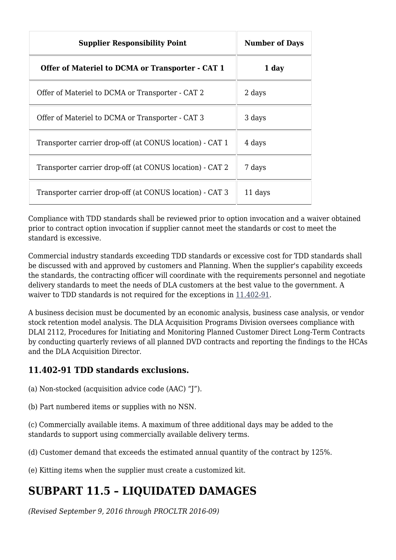| <b>Supplier Responsibility Point</b>                     | <b>Number of Days</b> |
|----------------------------------------------------------|-----------------------|
| Offer of Materiel to DCMA or Transporter - CAT 1         | 1 day                 |
| Offer of Materiel to DCMA or Transporter - CAT 2         | 2 days                |
| Offer of Materiel to DCMA or Transporter - CAT 3         | 3 days                |
| Transporter carrier drop-off (at CONUS location) - CAT 1 | 4 days                |
| Transporter carrier drop-off (at CONUS location) - CAT 2 | 7 days                |
| Transporter carrier drop-off (at CONUS location) - CAT 3 | 11 days               |

Compliance with TDD standards shall be reviewed prior to option invocation and a waiver obtained prior to contract option invocation if supplier cannot meet the standards or cost to meet the standard is excessive.

Commercial industry standards exceeding TDD standards or excessive cost for TDD standards shall be discussed with and approved by customers and Planning. When the supplier's capability exceeds the standards, the contracting officer will coordinate with the requirements personnel and negotiate delivery standards to meet the needs of DLA customers at the best value to the government. A waiver to TDD standards is not required for the exceptions in [11.402-91](https://www.acquisition.gov/%5Brp:link:dlad-part-11%5D#P11_402_91).

A business decision must be documented by an economic analysis, business case analysis, or vendor stock retention model analysis. The DLA Acquisition Programs Division oversees compliance with DLAI 2112, Procedures for Initiating and Monitoring Planned Customer Direct Long-Term Contracts by conducting quarterly reviews of all planned DVD contracts and reporting the findings to the HCAs and the DLA Acquisition Director.

## **11.402-91 TDD standards exclusions.**

- (a) Non-stocked (acquisition advice code (AAC) "J").
- (b) Part numbered items or supplies with no NSN.

(c) Commercially available items. A maximum of three additional days may be added to the standards to support using commercially available delivery terms.

(d) Customer demand that exceeds the estimated annual quantity of the contract by 125%.

(e) Kitting items when the supplier must create a customized kit.

## **SUBPART 11.5 – LIQUIDATED DAMAGES**

*(Revised September 9, 2016 through PROCLTR 2016-09)*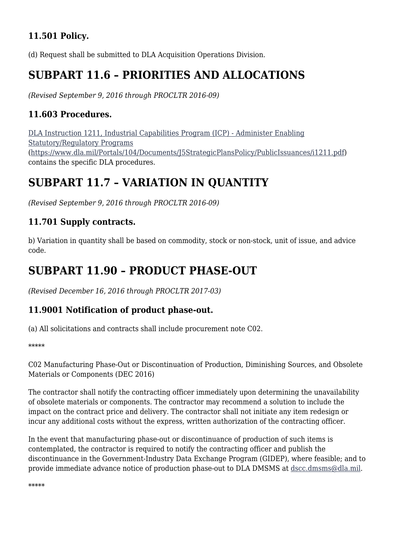## **11.501 Policy.**

(d) Request shall be submitted to DLA Acquisition Operations Division.

## **SUBPART 11.6 – PRIORITIES AND ALLOCATIONS**

*(Revised September 9, 2016 through PROCLTR 2016-09)*

## **11.603 Procedures.**

[DLA Instruction 1211, Industrial Capabilities Program \(ICP\) - Administer Enabling](https://www.dla.mil/Portals/104/Documents/J5StrategicPlansPolicy/PublicIssuances/i1211.pdf) [Statutory/Regulatory Programs](https://www.dla.mil/Portals/104/Documents/J5StrategicPlansPolicy/PublicIssuances/i1211.pdf) [\(https://www.dla.mil/Portals/104/Documents/J5StrategicPlansPolicy/PublicIssuances/i1211.pdf\)](https://www.dla.mil/Portals/104/Documents/J5StrategicPlansPolicy/PublicIssuances/i1211.pdf) contains the specific DLA procedures.

## **SUBPART 11.7 – VARIATION IN QUANTITY**

*(Revised September 9, 2016 through PROCLTR 2016-09)*

## **11.701 Supply contracts.**

b) Variation in quantity shall be based on commodity, stock or non-stock, unit of issue, and advice code.

## **SUBPART 11.90 – PRODUCT PHASE-OUT**

*(Revised December 16, 2016 through PROCLTR 2017-03)*

## **11.9001 Notification of product phase-out.**

(a) All solicitations and contracts shall include procurement note C02.

\*\*\*\*\*

C02 Manufacturing Phase-Out or Discontinuation of Production, Diminishing Sources, and Obsolete Materials or Components (DEC 2016)

The contractor shall notify the contracting officer immediately upon determining the unavailability of obsolete materials or components. The contractor may recommend a solution to include the impact on the contract price and delivery. The contractor shall not initiate any item redesign or incur any additional costs without the express, written authorization of the contracting officer.

In the event that manufacturing phase-out or discontinuance of production of such items is contemplated, the contractor is required to notify the contracting officer and publish the discontinuance in the Government-Industry Data Exchange Program (GIDEP), where feasible; and to provide immediate advance notice of production phase-out to DLA DMSMS at [dscc.dmsms@dla.mil](mailto:dscc.dmsms@dla.mil).

\*\*\*\*\*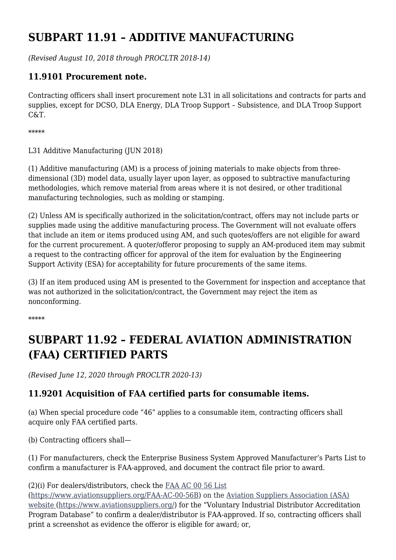## **SUBPART 11.91 – ADDITIVE MANUFACTURING**

*(Revised August 10, 2018 through PROCLTR 2018-14)*

## **11.9101 Procurement note.**

Contracting officers shall insert procurement note L31 in all solicitations and contracts for parts and supplies, except for DCSO, DLA Energy, DLA Troop Support – Subsistence, and DLA Troop Support C&T.

\*\*\*\*\*

L31 Additive Manufacturing (IUN 2018)

(1) Additive manufacturing (AM) is a process of joining materials to make objects from threedimensional (3D) model data, usually layer upon layer, as opposed to subtractive manufacturing methodologies, which remove material from areas where it is not desired, or other traditional manufacturing technologies, such as molding or stamping.

(2) Unless AM is specifically authorized in the solicitation/contract, offers may not include parts or supplies made using the additive manufacturing process. The Government will not evaluate offers that include an item or items produced using AM, and such quotes/offers are not eligible for award for the current procurement. A quoter/offeror proposing to supply an AM-produced item may submit a request to the contracting officer for approval of the item for evaluation by the Engineering Support Activity (ESA) for acceptability for future procurements of the same items.

(3) If an item produced using AM is presented to the Government for inspection and acceptance that was not authorized in the solicitation/contract, the Government may reject the item as nonconforming.

\*\*\*\*\*

## **SUBPART 11.92 – FEDERAL AVIATION ADMINISTRATION (FAA) CERTIFIED PARTS**

*(Revised June 12, 2020 through PROCLTR 2020-13)*

## **11.9201 Acquisition of FAA certified parts for consumable items.**

(a) When special procedure code "46" applies to a consumable item, contracting officers shall acquire only FAA certified parts.

(b) Contracting officers shall—

(1) For manufacturers, check the Enterprise Business System Approved Manufacturer's Parts List to confirm a manufacturer is FAA-approved, and document the contract file prior to award.

(2)(i) For dealers/distributors, check the [FAA AC 00 56 List](https://www.aviationsuppliers.org/FAA-AC-00-56B)

[\(https://www.aviationsuppliers.org/FAA-AC-00-56B\)](https://www.aviationsuppliers.org/FAA-AC-00-56B) on the [Aviation Suppliers Association \(ASA\)](file:///%5C%5Chome7.dir.ad.dla.mil%5CFHP0066%5CWPDOCS%5CAviation%20Suppliers%20Association%20(ASA)%20website%20) [website](file:///%5C%5Chome7.dir.ad.dla.mil%5CFHP0066%5CWPDOCS%5CAviation%20Suppliers%20Association%20(ASA)%20website%20) [\(https://www.aviationsuppliers.org/](https://www.aviationsuppliers.org/)) for the "Voluntary Industrial Distributor Accreditation Program Database" to confirm a dealer/distributor is FAA-approved. If so, contracting officers shall print a screenshot as evidence the offeror is eligible for award; or,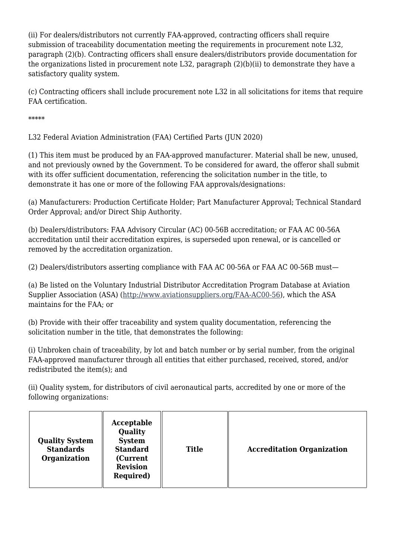(ii) For dealers/distributors not currently FAA-approved, contracting officers shall require submission of traceability documentation meeting the requirements in procurement note L32, paragraph (2)(b). Contracting officers shall ensure dealers/distributors provide documentation for the organizations listed in procurement note L32, paragraph (2)(b)(ii) to demonstrate they have a satisfactory quality system.

(c) Contracting officers shall include procurement note L32 in all solicitations for items that require FAA certification.

\*\*\*\*\*

L32 Federal Aviation Administration (FAA) Certified Parts (JUN 2020)

(1) This item must be produced by an FAA-approved manufacturer. Material shall be new, unused, and not previously owned by the Government. To be considered for award, the offeror shall submit with its offer sufficient documentation, referencing the solicitation number in the title, to demonstrate it has one or more of the following FAA approvals/designations:

(a) Manufacturers: Production Certificate Holder; Part Manufacturer Approval; Technical Standard Order Approval; and/or Direct Ship Authority.

(b) Dealers/distributors: FAA Advisory Circular (AC) 00-56B accreditation; or FAA AC 00-56A accreditation until their accreditation expires, is superseded upon renewal, or is cancelled or removed by the accreditation organization.

(2) Dealers/distributors asserting compliance with FAA AC 00-56A or FAA AC 00-56B must—

(a) Be listed on the Voluntary Industrial Distributor Accreditation Program Database at Aviation Supplier Association (ASA) (<http://www.aviationsuppliers.org/FAA-AC00-56>), which the ASA maintains for the FAA; or

(b) Provide with their offer traceability and system quality documentation, referencing the solicitation number in the title, that demonstrates the following:

(i) Unbroken chain of traceability, by lot and batch number or by serial number, from the original FAA-approved manufacturer through all entities that either purchased, received, stored, and/or redistributed the item(s); and

(ii) Quality system, for distributors of civil aeronautical parts, accredited by one or more of the following organizations:

| Acceptable<br>Quality<br><b>Quality System</b><br><b>System</b><br><b>Standard</b><br><b>Standards</b><br>Organization<br>(Current<br><b>Revision</b><br><b>Required</b> ) | <b>Title</b> | <b>Accreditation Organization</b> |
|----------------------------------------------------------------------------------------------------------------------------------------------------------------------------|--------------|-----------------------------------|
|----------------------------------------------------------------------------------------------------------------------------------------------------------------------------|--------------|-----------------------------------|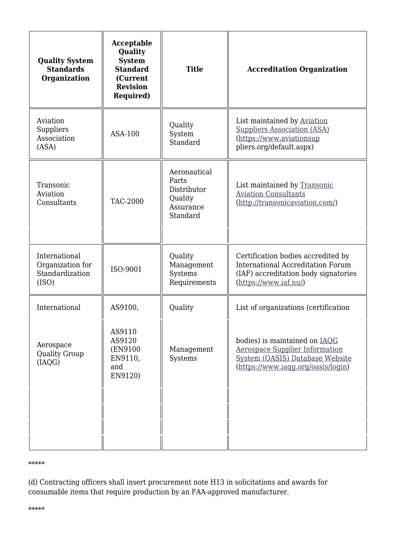| <b>Quality System</b><br><b>Standards</b><br>Organization     | Acceptable<br>Quality<br><b>System</b><br><b>Standard</b><br>(Current<br><b>Revision</b><br><b>Required)</b> | <b>Title</b>                                                             | <b>Accreditation Organization</b>                                                                                                               |
|---------------------------------------------------------------|--------------------------------------------------------------------------------------------------------------|--------------------------------------------------------------------------|-------------------------------------------------------------------------------------------------------------------------------------------------|
| Aviation<br>Suppliers<br>Association<br>(ASA)                 | ASA-100                                                                                                      | Quality<br>System<br>Standard                                            | List maintained by Aviation<br><b>Suppliers Association (ASA)</b><br>(https://www.aviationsup<br>pliers.org/default.aspx)                       |
| Transonic<br>Aviation<br>Consultants                          | <b>TAC-2000</b>                                                                                              | Aeronautical<br>Parts<br>Distributor<br>Quality<br>Assurance<br>Standard | List maintained by Transonic<br><b>Aviation Consultants</b><br>(http://transonicaviation.com/)                                                  |
| International<br>Organization for<br>Standardization<br>(ISO) | ISO-9001                                                                                                     | Quality<br>Management<br>Systems<br>Requirements                         | Certification bodies accredited by<br><b>International Accreditation Forum</b><br>(IAF) accreditation body signatories<br>(https://www.iaf.nu/) |
| International                                                 | AS9100,                                                                                                      | Quality                                                                  | List of organizations (certification                                                                                                            |
| Aerospace<br><b>Quality Group</b><br>(IAOG)                   | AS9110<br>AS9120<br>(EN9100)<br>EN9110,<br>and<br>EN9120)                                                    | Management<br>Systems                                                    | bodies) is maintained on IAQG<br><b>Aerospace Supplier Information</b><br>System (OASIS) Database Website<br>(https://www.iaqq.org/oasis/login) |
|                                                               |                                                                                                              |                                                                          |                                                                                                                                                 |

#### \*\*\*\*\*

(d) Contracting officers shall insert procurement note H13 in solicitations and awards for consumable items that require production by an FAA-approved manufacturer.

\*\*\*\*\*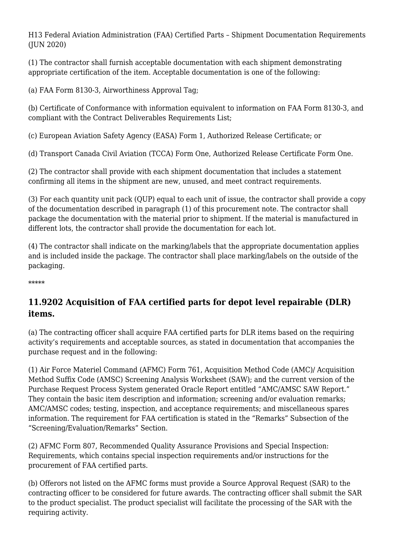H13 Federal Aviation Administration (FAA) Certified Parts – Shipment Documentation Requirements (JUN 2020)

(1) The contractor shall furnish acceptable documentation with each shipment demonstrating appropriate certification of the item. Acceptable documentation is one of the following:

(a) FAA Form 8130-3, Airworthiness Approval Tag;

(b) Certificate of Conformance with information equivalent to information on FAA Form 8130-3, and compliant with the Contract Deliverables Requirements List;

(c) European Aviation Safety Agency (EASA) Form 1, Authorized Release Certificate; or

(d) Transport Canada Civil Aviation (TCCA) Form One, Authorized Release Certificate Form One.

(2) The contractor shall provide with each shipment documentation that includes a statement confirming all items in the shipment are new, unused, and meet contract requirements.

(3) For each quantity unit pack (QUP) equal to each unit of issue, the contractor shall provide a copy of the documentation described in paragraph (1) of this procurement note. The contractor shall package the documentation with the material prior to shipment. If the material is manufactured in different lots, the contractor shall provide the documentation for each lot.

(4) The contractor shall indicate on the marking/labels that the appropriate documentation applies and is included inside the package. The contractor shall place marking/labels on the outside of the packaging.

\*\*\*\*\*

## **11.9202 Acquisition of FAA certified parts for depot level repairable (DLR) items.**

(a) The contracting officer shall acquire FAA certified parts for DLR items based on the requiring activity's requirements and acceptable sources, as stated in documentation that accompanies the purchase request and in the following:

(1) Air Force Materiel Command (AFMC) Form 761, Acquisition Method Code (AMC)/ Acquisition Method Suffix Code (AMSC) Screening Analysis Worksheet (SAW); and the current version of the Purchase Request Process System generated Oracle Report entitled "AMC/AMSC SAW Report." They contain the basic item description and information; screening and/or evaluation remarks; AMC/AMSC codes; testing, inspection, and acceptance requirements; and miscellaneous spares information. The requirement for FAA certification is stated in the "Remarks" Subsection of the "Screening/Evaluation/Remarks" Section.

(2) AFMC Form 807, Recommended Quality Assurance Provisions and Special Inspection: Requirements, which contains special inspection requirements and/or instructions for the procurement of FAA certified parts.

(b) Offerors not listed on the AFMC forms must provide a Source Approval Request (SAR) to the contracting officer to be considered for future awards. The contracting officer shall submit the SAR to the product specialist. The product specialist will facilitate the processing of the SAR with the requiring activity.